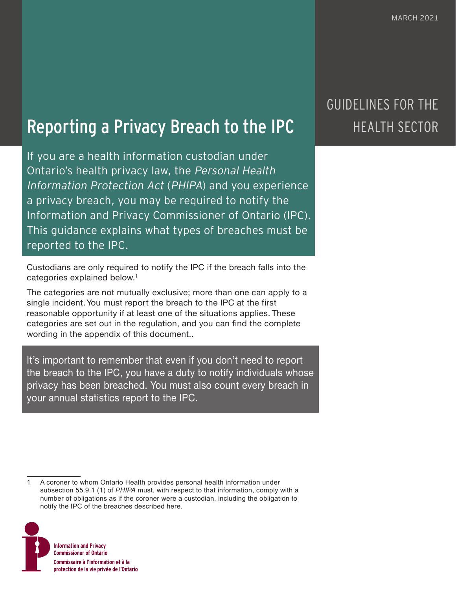# Reporting a Privacy Breach to the IPC

If you are a health information custodian under Ontario's health privacy law, the Personal Health Information Protection Act (PHIPA) and you experience a privacy breach, you may be required to notify the Information and Privacy Commissioner of Ontario (IPC). This guidance explains what types of breaches must be reported to the IPC.

Custodians are only required to notify the IPC if the breach falls into the categories explained below.<sup>1</sup>

The categories are not mutually exclusive; more than one can apply to a single incident. You must report the breach to the IPC at the first reasonable opportunity if at least one of the situations applies. These categories are set out in the regulation, and you can find the complete wording in the appendix of this document..

It's important to remember that even if you don't need to report the breach to the IPC, you have a duty to notify individuals whose privacy has been breached. You must also count every breach in your annual statistics report to the IPC.

<sup>1</sup> A coroner to whom Ontario Health provides personal health information under subsection 55.9.1 (1) of *PHIPA* must, with respect to that information, comply with a number of obligations as if the coroner were a custodian, including the obligation to notify the IPC of the breaches described here.



## GUIDELINES FOR THE HEALTH SECTOR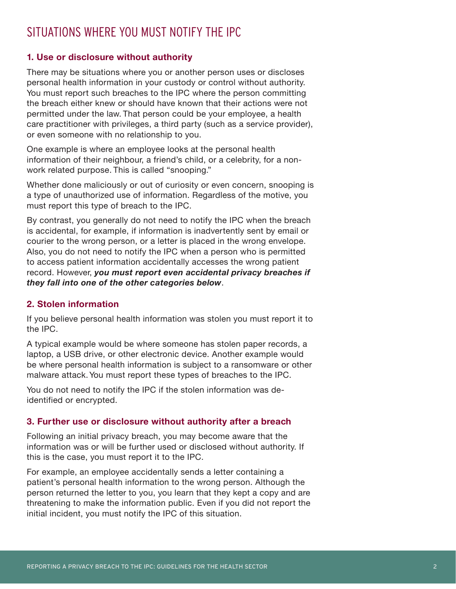### SITUATIONS WHERE YOU MUST NOTIFY THE IPC

#### **1. Use or disclosure without authority**

There may be situations where you or another person uses or discloses personal health information in your custody or control without authority. You must report such breaches to the IPC where the person committing the breach either knew or should have known that their actions were not permitted under the law. That person could be your employee, a health care practitioner with privileges, a third party (such as a service provider), or even someone with no relationship to you.

One example is where an employee looks at the personal health information of their neighbour, a friend's child, or a celebrity, for a nonwork related purpose. This is called "snooping."

Whether done maliciously or out of curiosity or even concern, snooping is a type of unauthorized use of information. Regardless of the motive, you must report this type of breach to the IPC.

By contrast, you generally do not need to notify the IPC when the breach is accidental, for example, if information is inadvertently sent by email or courier to the wrong person, or a letter is placed in the wrong envelope. Also, you do not need to notify the IPC when a person who is permitted to access patient information accidentally accesses the wrong patient record. However, *you must report even accidental privacy breaches if they fall into one of the other categories below*.

#### **2. Stolen information**

If you believe personal health information was stolen you must report it to the IPC.

A typical example would be where someone has stolen paper records, a laptop, a USB drive, or other electronic device. Another example would be where personal health information is subject to a ransomware or other malware attack. You must report these types of breaches to the IPC.

You do not need to notify the IPC if the stolen information was deidentified or encrypted.

#### **3. Further use or disclosure without authority after a breach**

Following an initial privacy breach, you may become aware that the information was or will be further used or disclosed without authority. If this is the case, you must report it to the IPC.

For example, an employee accidentally sends a letter containing a patient's personal health information to the wrong person. Although the person returned the letter to you, you learn that they kept a copy and are threatening to make the information public. Even if you did not report the initial incident, you must notify the IPC of this situation.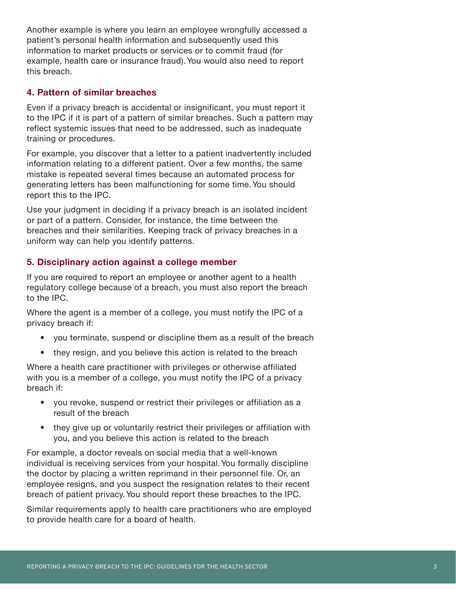Another example is where you learn an employee wrongfully accessed a patient's personal health information and subsequently used this information to market products or services or to commit fraud (for example, health care or insurance fraud). You would also need to report this breach.

#### **4. Pattern of similar breaches**

Even if a privacy breach is accidental or insignificant, you must report it to the IPC if it is part of a pattern of similar breaches. Such a pattern may reflect systemic issues that need to be addressed, such as inadequate training or procedures.

For example, you discover that a letter to a patient inadvertently included information relating to a different patient. Over a few months, the same mistake is repeated several times because an automated process for generating letters has been malfunctioning for some time. You should report this to the IPC.

Use your judgment in deciding if a privacy breach is an isolated incident or part of a pattern. Consider, for instance, the time between the breaches and their similarities. Keeping track of privacy breaches in a uniform way can help you identify patterns.

#### **5. Disciplinary action against a college member**

If you are required to report an employee or another agent to a health regulatory college because of a breach, you must also report the breach to the IPC.

Where the agent is a member of a college, you must notify the IPC of a privacy breach if:

- you terminate, suspend or discipline them as a result of the breach
- they resign, and you believe this action is related to the breach

Where a health care practitioner with privileges or otherwise affiliated with you is a member of a college, you must notify the IPC of a privacy breach if:

- you revoke, suspend or restrict their privileges or affiliation as a result of the breach
- they give up or voluntarily restrict their privileges or affiliation with you, and you believe this action is related to the breach

For example, a doctor reveals on social media that a well-known individual is receiving services from your hospital. You formally discipline the doctor by placing a written reprimand in their personnel file. Or, an employee resigns, and you suspect the resignation relates to their recent breach of patient privacy. You should report these breaches to the IPC.

Similar requirements apply to health care practitioners who are employed to provide health care for a board of health.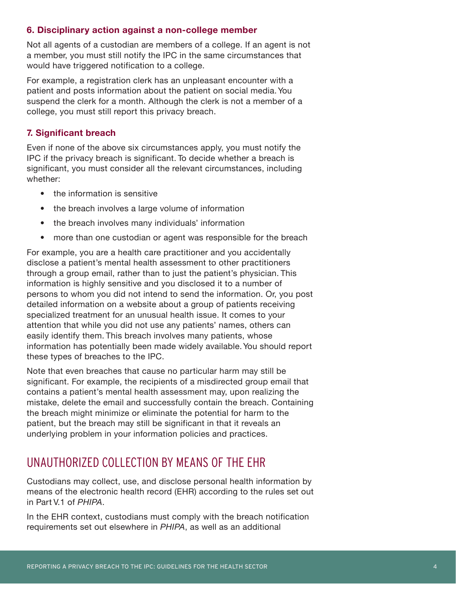#### **6. Disciplinary action against a non-college member**

Not all agents of a custodian are members of a college. If an agent is not a member, you must still notify the IPC in the same circumstances that would have triggered notification to a college.

For example, a registration clerk has an unpleasant encounter with a patient and posts information about the patient on social media. You suspend the clerk for a month. Although the clerk is not a member of a college, you must still report this privacy breach.

#### **7. Significant breach**

Even if none of the above six circumstances apply, you must notify the IPC if the privacy breach is significant. To decide whether a breach is significant, you must consider all the relevant circumstances, including whether:

- the information is sensitive
- the breach involves a large volume of information
- the breach involves many individuals' information
- more than one custodian or agent was responsible for the breach

For example, you are a health care practitioner and you accidentally disclose a patient's mental health assessment to other practitioners through a group email, rather than to just the patient's physician. This information is highly sensitive and you disclosed it to a number of persons to whom you did not intend to send the information. Or, you post detailed information on a website about a group of patients receiving specialized treatment for an unusual health issue. It comes to your attention that while you did not use any patients' names, others can easily identify them. This breach involves many patients, whose information has potentially been made widely available. You should report these types of breaches to the IPC.

Note that even breaches that cause no particular harm may still be significant. For example, the recipients of a misdirected group email that contains a patient's mental health assessment may, upon realizing the mistake, delete the email and successfully contain the breach. Containing the breach might minimize or eliminate the potential for harm to the patient, but the breach may still be significant in that it reveals an underlying problem in your information policies and practices.

### UNAUTHORIZED COLLECTION BY MEANS OF THE EHR

Custodians may collect, use, and disclose personal health information by means of the electronic health record (EHR) according to the rules set out in Part V.1 of *PHIPA*.

In the EHR context, custodians must comply with the breach notification requirements set out elsewhere in *PHIPA*, as well as an additional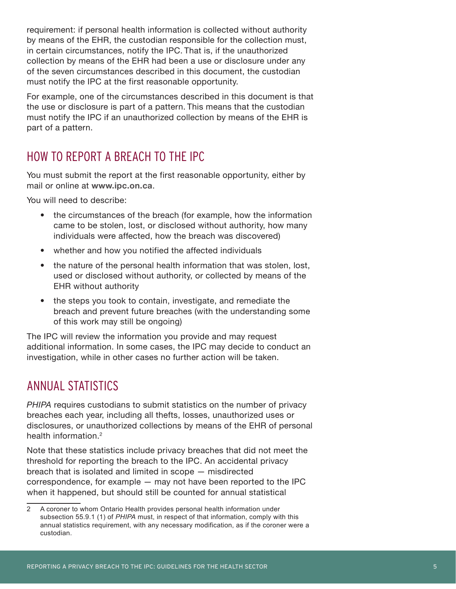requirement: if personal health information is collected without authority by means of the EHR, the custodian responsible for the collection must, in certain circumstances, notify the IPC. That is, if the unauthorized collection by means of the EHR had been a use or disclosure under any of the seven circumstances described in this document, the custodian must notify the IPC at the first reasonable opportunity.

For example, one of the circumstances described in this document is that the use or disclosure is part of a pattern. This means that the custodian must notify the IPC if an unauthorized collection by means of the EHR is part of a pattern.

### HOW TO REPORT A BREACH TO THE IPC

You must submit the report at the first reasonable opportunity, either by mail or online at **www.ipc.on.ca**.

You will need to describe:

- the circumstances of the breach (for example, how the information came to be stolen, lost, or disclosed without authority, how many individuals were affected, how the breach was discovered)
- whether and how you notified the affected individuals
- the nature of the personal health information that was stolen, lost, used or disclosed without authority, or collected by means of the EHR without authority
- the steps you took to contain, investigate, and remediate the breach and prevent future breaches (with the understanding some of this work may still be ongoing)

The IPC will review the information you provide and may request additional information. In some cases, the IPC may decide to conduct an investigation, while in other cases no further action will be taken.

### ANNUAL STATISTICS

*PHIPA* requires custodians to submit statistics on the number of privacy breaches each year, including all thefts, losses, unauthorized uses or disclosures, or unauthorized collections by means of the EHR of personal health information.<sup>2</sup>

Note that these statistics include privacy breaches that did not meet the threshold for reporting the breach to the IPC. An accidental privacy breach that is isolated and limited in scope — misdirected correspondence, for example — may not have been reported to the IPC when it happened, but should still be counted for annual statistical

<sup>2</sup> A coroner to whom Ontario Health provides personal health information under subsection 55.9.1 (1) of *PHIPA* must, in respect of that information, comply with this annual statistics requirement, with any necessary modification, as if the coroner were a custodian.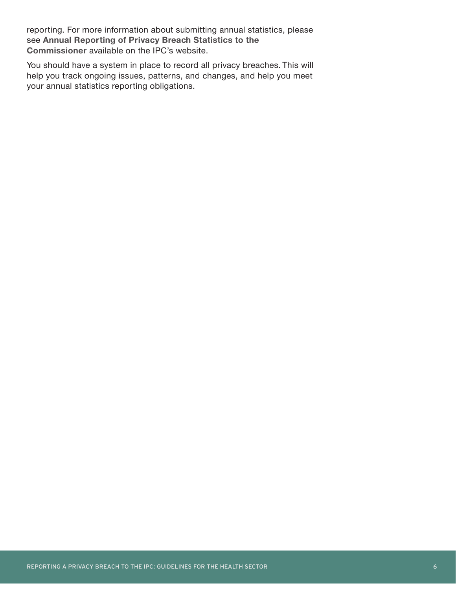reporting. For more information about submitting annual statistics, please see **Annual Reporting of Privacy Breach Statistics to the Commissioner** available on the IPC's website.

You should have a system in place to record all privacy breaches. This will help you track ongoing issues, patterns, and changes, and help you meet your annual statistics reporting obligations.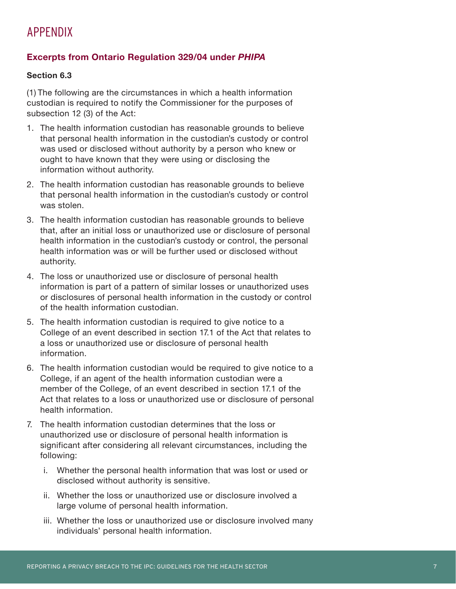### APPENDIX

#### **Excerpts from Ontario Regulation 329/04 under** *PHIPA*

#### **Section 6.3**

(1) The following are the circumstances in which a health information custodian is required to notify the Commissioner for the purposes of subsection 12 (3) of the Act:

- 1. The health information custodian has reasonable grounds to believe that personal health information in the custodian's custody or control was used or disclosed without authority by a person who knew or ought to have known that they were using or disclosing the information without authority.
- 2. The health information custodian has reasonable grounds to believe that personal health information in the custodian's custody or control was stolen.
- 3. The health information custodian has reasonable grounds to believe that, after an initial loss or unauthorized use or disclosure of personal health information in the custodian's custody or control, the personal health information was or will be further used or disclosed without authority.
- 4. The loss or unauthorized use or disclosure of personal health information is part of a pattern of similar losses or unauthorized uses or disclosures of personal health information in the custody or control of the health information custodian.
- 5. The health information custodian is required to give notice to a College of an event described in section 17.1 of the Act that relates to a loss or unauthorized use or disclosure of personal health information.
- 6. The health information custodian would be required to give notice to a College, if an agent of the health information custodian were a member of the College, of an event described in section 17.1 of the Act that relates to a loss or unauthorized use or disclosure of personal health information.
- 7. The health information custodian determines that the loss or unauthorized use or disclosure of personal health information is significant after considering all relevant circumstances, including the following:
	- i. Whether the personal health information that was lost or used or disclosed without authority is sensitive.
	- ii. Whether the loss or unauthorized use or disclosure involved a large volume of personal health information.
	- iii. Whether the loss or unauthorized use or disclosure involved many individuals' personal health information.